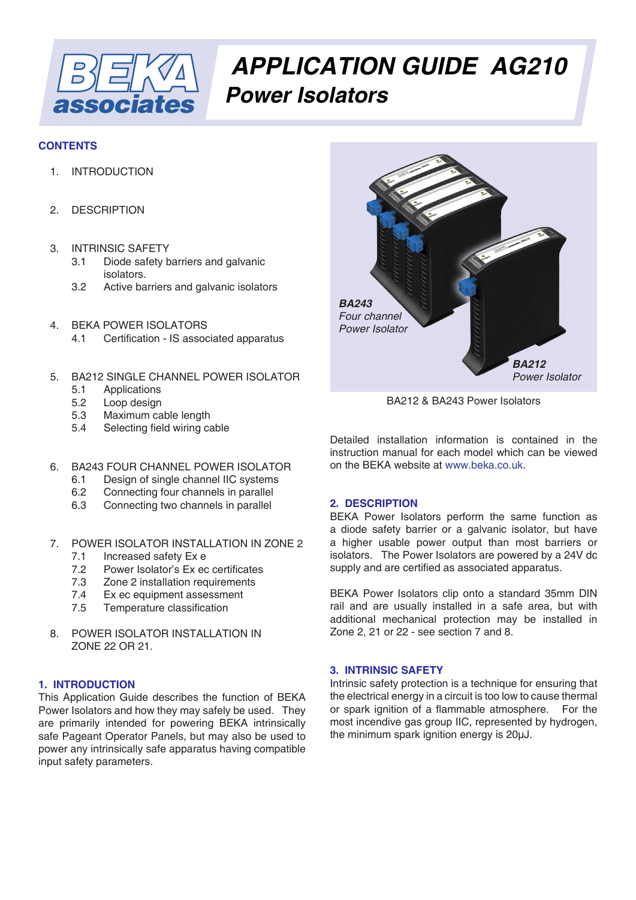

# *APPLICATION GUIDE AG210 Power Isolators*

# **CONTENTS**

- 1. INTRODUCTION
- 2. DESCRIPTION
- 3. INTRINSIC SAFETY
	- 3.1 Diode safety barriers and galvanic isolators.<br>3.2 Active ba
	- Active barriers and galvanic isolators
- 4. BEKA POWER ISOLATORS
	- 4.1 Certification IS associated apparatus
- 5. BA212 SINGLE CHANNEL POWER ISOLATOR
	- 5.1 Applications
	- 5.2 Loop design<br>5.3 Maximum ca
	- 5.3 Maximum cable length<br>5.4 Selecting field wiring ca
	- Selecting field wiring cable
- 6. BA243 FOUR CHANNEL POWER ISOLATOR
	- 6.1 Design of single channel IIC systems
	- 6.2 Connecting four channels in parallel
	- 6.3 Connecting two channels in parallel
- 7. POWER ISOLATOR INSTALLATION IN ZONE 2
	- 7.1 Increased safety Ex e
	- 7.2 Power Isolator's Ex ec certificates
	- 7.3 Zone 2 installation requirements
	- 7.4 Ex ec equipment assessment
	- 7.5 Temperature classification
- 8. POWER ISOLATOR INSTALLATION IN ZONE 22 OR 21.

# **1. INTRODUCTION**

This Application Guide describes the function of BEKA Power Isolators and how they may safely be used. They are primarily intended for powering BEKA intrinsically safe Pageant Operator Panels, but may also be used to power any intrinsically safe apparatus having compatible input safety parameters.



BA212 & BA243 Power Isolators

Detailed installation information is contained in the instruction manual for each model which can be viewed on the BEKA website at [www.beka.co.uk](https://www.beka.co.uk/).

# **2. DESCRIPTION**

BEKA Power Isolators perform the same function as a diode safety barrier or a galvanic isolator, but have a higher usable power output than most barriers or isolators. The Power Isolators are powered by a 24V dc supply and are certified as associated apparatus.

BEKA Power Isolators clip onto a standard 35mm DIN rail and are usually installed in a safe area, but with additional mechanical protection may be installed in Zone 2, 21 or 22 - see section 7 and 8.

# **3. INTRINSIC SAFETY**

Intrinsic safety protection is a technique for ensuring that the electrical energy in a circuit is too low to cause thermal or spark ignition of a flammable atmosphere. For the most incendive gas group IIC, represented by hydrogen, the minimum spark ignition energy is 20µJ.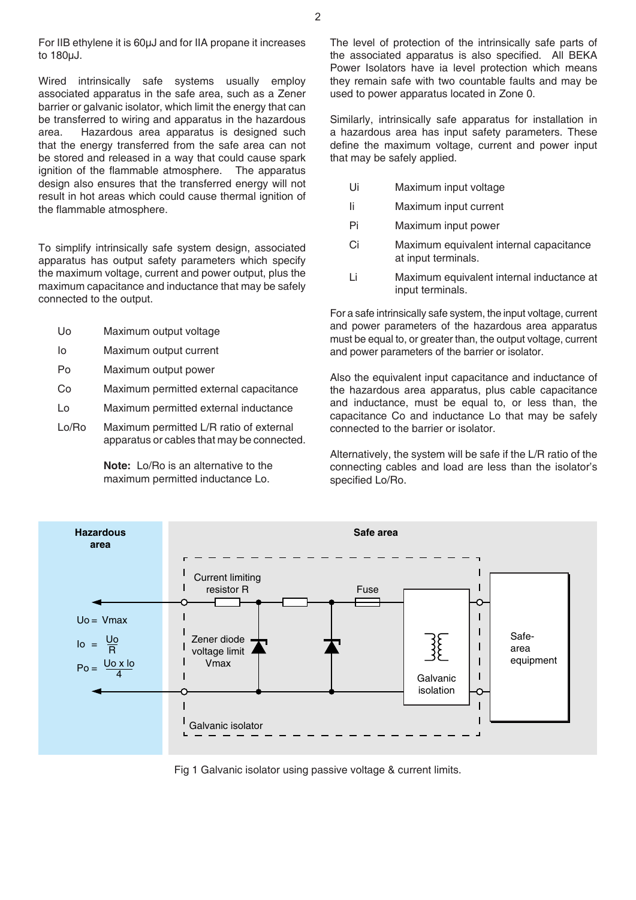For IIB ethylene it is 60µJ and for IIA propane it increases to 180µJ.

Wired intrinsically safe systems usually employ associated apparatus in the safe area, such as a Zener barrier or galvanic isolator, which limit the energy that can be transferred to wiring and apparatus in the hazardous area. Hazardous area apparatus is designed such that the energy transferred from the safe area can not be stored and released in a way that could cause spark ignition of the flammable atmosphere. The apparatus design also ensures that the transferred energy will not result in hot areas which could cause thermal ignition of the flammable atmosphere.

To simplify intrinsically safe system design, associated apparatus has output safety parameters which specify the maximum voltage, current and power output, plus the maximum capacitance and inductance that may be safely connected to the output.

- Uo Maximum output voltage
- Io Maximum output current
- Po Maximum output power
- Co Maximum permitted external capacitance
- Lo Maximum permitted external inductance
- Lo/Ro Maximum permitted L/R ratio of external apparatus or cables that may be connected.

 **Note:** Lo/Ro is an alternative to the maximum permitted inductance Lo.

The level of protection of the intrinsically safe parts of the associated apparatus is also specified. All BEKA Power Isolators have ia level protection which means they remain safe with two countable faults and may be used to power apparatus located in Zone 0.

Similarly, intrinsically safe apparatus for installation in a hazardous area has input safety parameters. These define the maximum voltage, current and power input that may be safely applied.

- Ui Maximum input voltage
- Ii Maximum input current
- Pi Maximum input power
- Ci Maximum equivalent internal capacitance at input terminals.
- Li Maximum equivalent internal inductance at input terminals.

For a safe intrinsically safe system, the input voltage, current and power parameters of the hazardous area apparatus must be equal to, or greater than, the output voltage, current and power parameters of the barrier or isolator.

Also the equivalent input capacitance and inductance of the hazardous area apparatus, plus cable capacitance and inductance, must be equal to, or less than, the capacitance Co and inductance Lo that may be safely connected to the barrier or isolator.

Alternatively, the system will be safe if the L/R ratio of the connecting cables and load are less than the isolator's specified Lo/Ro.



Fig 1 Galvanic isolator using passive voltage & current limits.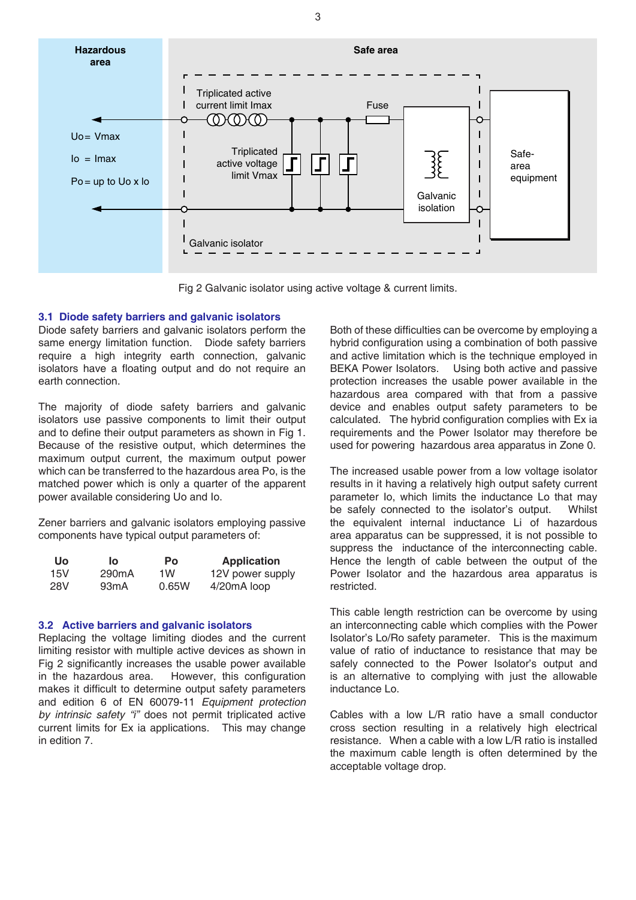

Fig 2 Galvanic isolator using active voltage & current limits.

## **3.1 Diode safety barriers and galvanic isolators**

Diode safety barriers and galvanic isolators perform the same energy limitation function. Diode safety barriers require a high integrity earth connection, galvanic isolators have a floating output and do not require an earth connection.

The majority of diode safety barriers and galvanic isolators use passive components to limit their output and to define their output parameters as shown in Fig 1. Because of the resistive output, which determines the maximum output current, the maximum output power which can be transferred to the hazardous area Po, is the matched power which is only a quarter of the apparent power available considering Uo and Io.

Zener barriers and galvanic isolators employing passive components have typical output parameters of:

| <b>Uo</b> | lo.                | Po    | <b>Application</b> |
|-----------|--------------------|-------|--------------------|
| 15V       | 290 <sub>m</sub> A | 1W    | 12V power supply   |
| 28V       | 93 <sub>m</sub> A  | 0.65W | 4/20mA loop        |

## **3.2 Active barriers and galvanic isolators**

Replacing the voltage limiting diodes and the current limiting resistor with multiple active devices as shown in Fig 2 significantly increases the usable power available in the hazardous area. However, this configuration makes it difficult to determine output safety parameters and edition 6 of EN 60079-11 *Equipment protection by intrinsic safety "i"* does not permit triplicated active current limits for Ex ia applications. This may change in edition 7.

Both of these difficulties can be overcome by employing a hybrid configuration using a combination of both passive and active limitation which is the technique employed in BEKA Power Isolators. Using both active and passive protection increases the usable power available in the hazardous area compared with that from a passive device and enables output safety parameters to be calculated. The hybrid configuration complies with Ex ia requirements and the Power Isolator may therefore be used for powering hazardous area apparatus in Zone 0.

The increased usable power from a low voltage isolator results in it having a relatively high output safety current parameter Io, which limits the inductance Lo that may be safely connected to the isolator's output. Whilst the equivalent internal inductance Li of hazardous area apparatus can be suppressed, it is not possible to suppress the inductance of the interconnecting cable. Hence the length of cable between the output of the Power Isolator and the hazardous area apparatus is restricted.

This cable length restriction can be overcome by using an interconnecting cable which complies with the Power Isolator's Lo/Ro safety parameter. This is the maximum value of ratio of inductance to resistance that may be safely connected to the Power Isolator's output and is an alternative to complying with just the allowable inductance Lo.

Cables with a low L/R ratio have a small conductor cross section resulting in a relatively high electrical resistance. When a cable with a low L/R ratio is installed the maximum cable length is often determined by the acceptable voltage drop.

3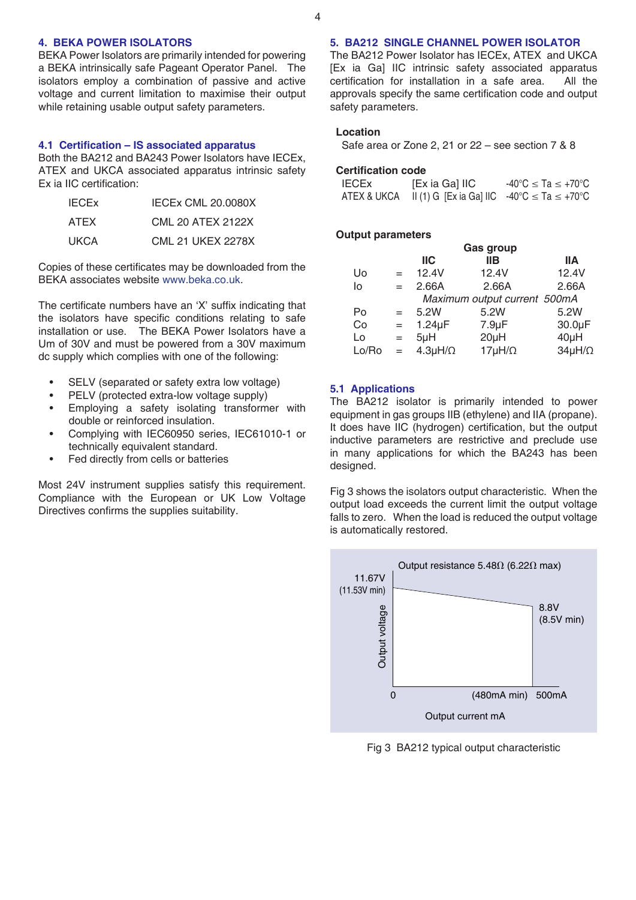# **4. BEKA POWER ISOLATORS**

BEKA Power Isolators are primarily intended for powering a BEKA intrinsically safe Pageant Operator Panel. The isolators employ a combination of passive and active voltage and current limitation to maximise their output while retaining usable output safety parameters.

#### **4.1 Certification – IS associated apparatus**

Both the BA212 and BA243 Power Isolators have IECEx, ATEX and UKCA associated apparatus intrinsic safety Ex ia IIC certification:

| <b>IECE<sub>x</sub></b> | <b>IECEX CML 20.0080X</b> |
|-------------------------|---------------------------|
| <b>ATEX</b>             | CML 20 ATEX 2122X         |
| <b>UKCA</b>             | <b>CML 21 UKEX 2278X</b>  |

Copies of these certificates may be downloaded from the BEKA associates website [www.beka.co.uk](https://www.beka.co.uk/).

The certificate numbers have an 'X' suffix indicating that the isolators have specific conditions relating to safe installation or use. The BEKA Power Isolators have a Um of 30V and must be powered from a 30V maximum dc supply which complies with one of the following:

- SELV (separated or safety extra low voltage)
- PELV (protected extra-low voltage supply)
- Employing a safety isolating transformer with double or reinforced insulation.
- • Complying with IEC60950 series, IEC61010-1 or technically equivalent standard.
- Fed directly from cells or batteries

Most 24V instrument supplies satisfy this requirement. Compliance with the European or UK Low Voltage Directives confirms the supplies suitability.

# **5. BA212 SINGLE CHANNEL POWER ISOLATOR**

The BA212 Power Isolator has IECEx, ATEX and UKCA [Ex ia Ga] IIC intrinsic safety associated apparatus certification for installation in a safe area. All the approvals specify the same certification code and output safety parameters.

## **Location**

 Safe area or Zone 2, 21 or 22 – see section 7 & 8

#### **Certification code**

| <b>IECEX</b> | [Ex ia Ga] IIC                                                             | $-40^{\circ}$ C $\leq$ Ta $\leq$ +70 $^{\circ}$ C |
|--------------|----------------------------------------------------------------------------|---------------------------------------------------|
|              | ATEX & UKCA II (1) G [Ex ia Ga] IIC $-40^{\circ}$ C $\leq$ Ta $\leq$ +70°C |                                                   |

## **Output parameters**

|       | Gas group |                   |                              |                  |
|-------|-----------|-------------------|------------------------------|------------------|
|       |           | <b>IIC</b>        | <b>IIB</b>                   | IIА              |
| Uo    | $=$       | 12.4V             | 12.4V                        | 12.4V            |
| lo    | $=$       | 2.66A             | 2.66A                        | 2.66A            |
|       |           |                   | Maximum output current 500mA |                  |
| Po    | $=$       | 5.2W              | 5.2W                         | 5.2W             |
| Co    | $=$       | $1.24\mu F$       | $7.9 \mu F$                  | 30.0µF           |
| Lo    | $=$       | $5\muH$           | $20\muH$                     | $40\mu H$        |
| Lo/Ro | $=$       | $4.3\mu H/\Omega$ | $17\mu H/\Omega$             | $34\mu H/\Omega$ |

## **5.1 Applications**

The BA212 isolator is primarily intended to power equipment in gas groups IIB (ethylene) and IIA (propane). It does have IIC (hydrogen) certification, but the output inductive parameters are restrictive and preclude use in many applications for which the BA243 has been designed.

Fig 3 shows the isolators output characteristic. When the output load exceeds the current limit the output voltage falls to zero. When the load is reduced the output voltage is automatically restored.



Fig 3 BA212 typical output characteristic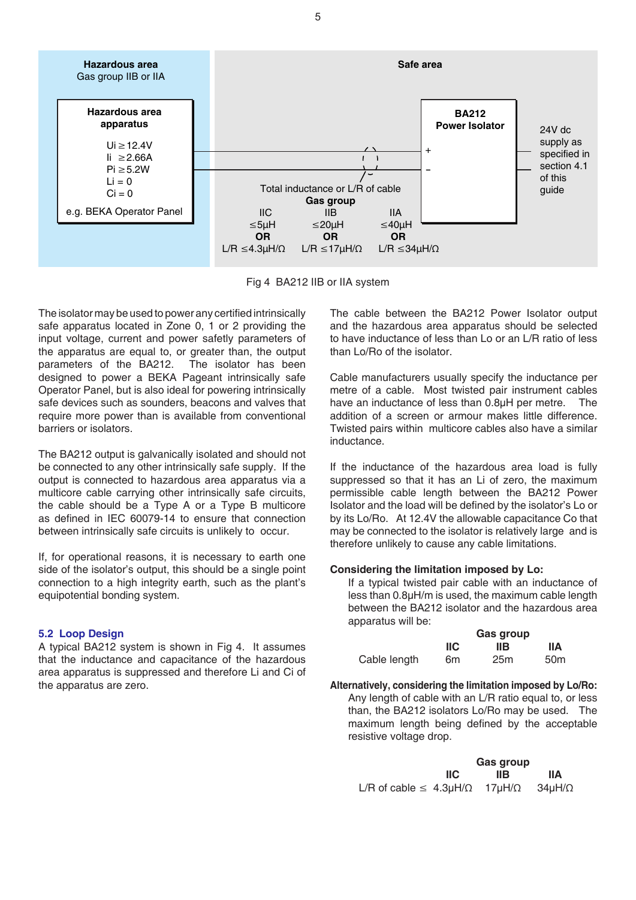

Fig 4 BA212 IIB or IIA system

The isolator may be used to power any certified intrinsically safe apparatus located in Zone 0, 1 or 2 providing the input voltage, current and power safetly parameters of the apparatus are equal to, or greater than, the output parameters of the BA212. The isolator has been designed to power a BEKA Pageant intrinsically safe Operator Panel, but is also ideal for powering intrinsically safe devices such as sounders, beacons and valves that require more power than is available from conventional barriers or isolators.

The BA212 output is galvanically isolated and should not be connected to any other intrinsically safe supply. If the output is connected to hazardous area apparatus via a multicore cable carrying other intrinsically safe circuits, the cable should be a Type A or a Type B multicore as defined in IEC 60079-14 to ensure that connection between intrinsically safe circuits is unlikely to occur.

If, for operational reasons, it is necessary to earth one side of the isolator's output, this should be a single point connection to a high integrity earth, such as the plant's equipotential bonding system.

## **5.2 Loop Design**

A typical BA212 system is shown in Fig 4. It assumes that the inductance and capacitance of the hazardous area apparatus is suppressed and therefore Li and Ci of the apparatus are zero.

The cable between the BA212 Power Isolator output and the hazardous area apparatus should be selected to have inductance of less than Lo or an L/R ratio of less than Lo/Ro of the isolator.

Cable manufacturers usually specify the inductance per metre of a cable. Most twisted pair instrument cables have an inductance of less than 0.8µH per metre. The addition of a screen or armour makes little difference. Twisted pairs within multicore cables also have a similar inductance.

If the inductance of the hazardous area load is fully suppressed so that it has an Li of zero, the maximum permissible cable length between the BA212 Power Isolator and the load will be defined by the isolator's Lo or by its Lo/Ro. At 12.4V the allowable capacitance Co that may be connected to the isolator is relatively large and is therefore unlikely to cause any cable limitations.

## **Considering the limitation imposed by Lo:**

If a typical twisted pair cable with an inductance of less than 0.8µH/m is used, the maximum cable length between the BA212 isolator and the hazardous area apparatus will be:

|              | <b>Gas group</b> |                 |                 |
|--------------|------------------|-----------------|-----------------|
|              | <b>IIC</b>       | llВ             | <b>IIA</b>      |
| Cable length | 6m               | 25 <sub>m</sub> | 50 <sub>m</sub> |

**Alternatively, considering the limitation imposed by Lo/Ro:** Any length of cable with an L/R ratio equal to, or less than, the BA212 isolators Lo/Ro may be used. The maximum length being defined by the acceptable resistive voltage drop.

|                                                                         | Gas group |      |     |
|-------------------------------------------------------------------------|-----------|------|-----|
|                                                                         | IIC.      | IIB. | lΙA |
| L/R of cable $\leq 4.3\mu H/\Omega$ 17 $\mu H/\Omega$ 34 $\mu H/\Omega$ |           |      |     |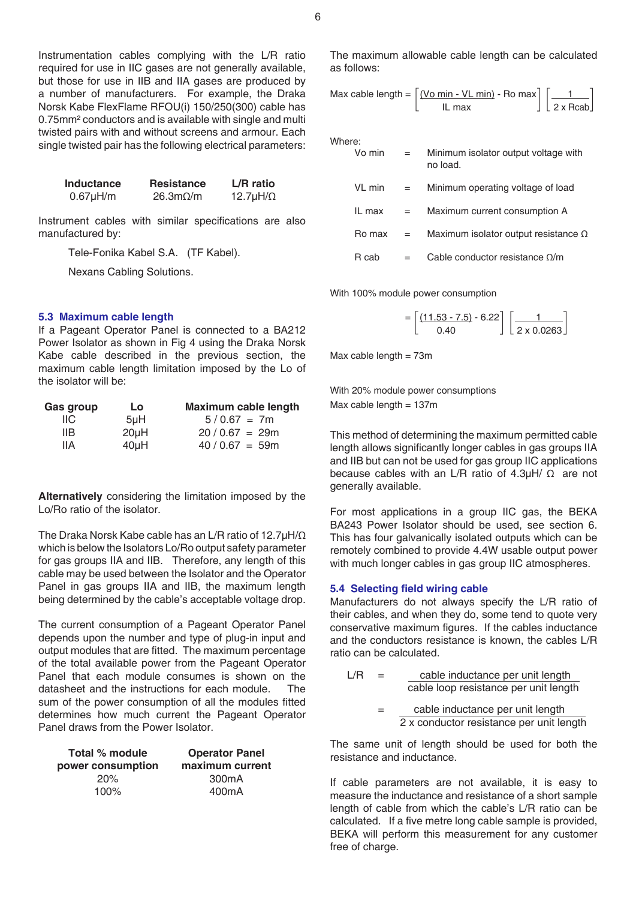Instrumentation cables complying with the L/R ratio required for use in IIC gases are not generally available, but those for use in IIB and IIA gases are produced by a number of manufacturers. For example, the Draka Norsk Kabe FlexFlame RFOU(i) 150/250(300) cable has 0.75mm² conductors and is available with single and multi twisted pairs with and without screens and armour. Each single twisted pair has the following electrical parameters:

| Inductance  | <b>Resistance</b>              | L/R ratio          |
|-------------|--------------------------------|--------------------|
| $0.67$ µH/m | $26.3 \text{m}\Omega/\text{m}$ | $12.7\mu H/\Omega$ |

Instrument cables with similar specifications are also manufactured by:

 Tele-Fonika Kabel S.A. (TF Kabel).

 Nexans Cabling Solutions.

## **5.3 Maximum cable length**

If a Pageant Operator Panel is connected to a BA212 Power Isolator as shown in Fig 4 using the Draka Norsk Kabe cable described in the previous section, the maximum cable length limitation imposed by the Lo of the isolator will be:

| Gas group | Lo               | <b>Maximum cable length</b> |
|-----------|------------------|-----------------------------|
| IIC.      | 5 <sub>µ</sub> H | $5/0.67 = 7m$               |
| IIВ       | $20\mu H$        | $20/0.67 = 29m$             |
| IIА       | $40\mu H$        | $40/0.67 = 59m$             |

**Alternatively** considering the limitation imposed by the Lo/Ro ratio of the isolator.

The Draka Norsk Kabe cable has an L/R ratio of 12.7µH/Ω which is below the Isolators Lo/Ro output safety parameter for gas groups IIA and IIB. Therefore, any length of this cable may be used between the Isolator and the Operator Panel in gas groups IIA and IIB, the maximum length being determined by the cable's acceptable voltage drop.

The current consumption of a Pageant Operator Panel depends upon the number and type of plug-in input and output modules that are fitted. The maximum percentage of the total available power from the Pageant Operator Panel that each module consumes is shown on the datasheet and the instructions for each module. The sum of the power consumption of all the modules fitted determines how much current the Pageant Operator Panel draws from the Power Isolator.

| Total % module    | <b>Operator Panel</b> |  |
|-------------------|-----------------------|--|
| power consumption | maximum current       |  |
| 20%               | 300 <sub>m</sub> A    |  |
| $100\%$           | 400 <sub>m</sub> A    |  |

The maximum allowable cable length can be calculated as follows:

$$
\text{Max cable length} = \left[ \frac{(\text{Vo min} - \text{VL min})}{\text{IL max}} \cdot \text{Ro max} \right] \left[ \frac{1}{2 \times \text{Rcab}} \right]
$$

Where:

| Vo min | $=$ | Minimum isolator output voltage with<br>no load. |
|--------|-----|--------------------------------------------------|
| VL min | $=$ | Minimum operating voltage of load                |
| IL max | $=$ | Maximum current consumption A                    |
| Ro max | $=$ | Maximum isolator output resistance $\Omega$      |
| R cab  |     | Cable conductor resistance $\Omega/m$            |

With 100% module power consumption

$$
= \left[\frac{(11.53 - 7.5) - 6.22}{0.40}\right] \left[\frac{1}{2 \times 0.0263}\right]
$$

Max cable length  $= 73$ m

With 20% module power consumptions Max cable length  $= 137$ m

This method of determining the maximum permitted cable length allows significantly longer cables in gas groups IIA and IIB but can not be used for gas group IIC applications because cables with an L/R ratio of 4.3µH/ Ω are not generally available.

For most applications in a group IIC gas, the BEKA BA243 Power Isolator should be used, see section 6. This has four galvanically isolated outputs which can be remotely combined to provide 4.4W usable output power with much longer cables in gas group IIC atmospheres.

#### **5.4 Selecting field wiring cable**

Manufacturers do not always specify the L/R ratio of their cables, and when they do, some tend to quote very conservative maximum figures. If the cables inductance and the conductors resistance is known, the cables L/R ratio can be calculated.

- $L/R =$  cable inductance per unit length cable loop resistance per unit length
	- = cable inductance per unit length 2 x conductor resistance per unit length

The same unit of length should be used for both the resistance and inductance.

If cable parameters are not available, it is easy to measure the inductance and resistance of a short sample length of cable from which the cable's L/R ratio can be calculated. If a five metre long cable sample is provided, BEKA will perform this measurement for any customer free of charge.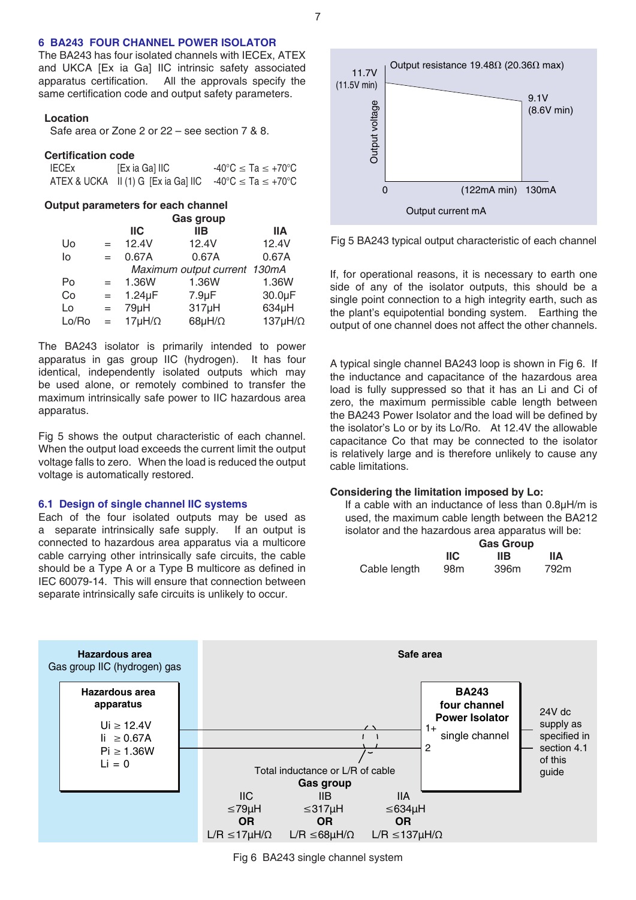## **6 BA243 FOUR CHANNEL POWER ISOLATOR**

The BA243 has four isolated channels with IECEx, ATEX and UKCA [Ex ia Ga] IIC intrinsic safety associated apparatus certification. All the approvals specify the same certification code and output safety parameters.

#### **Location**

 Safe area or Zone 2 or 22 – see section 7 & 8.

#### **Certification code**

| <b>IECEx</b> | [Ex ia Ga] IIC                                                             | $-40^{\circ}$ C $\le$ Ta $\le$ +70 $^{\circ}$ C |
|--------------|----------------------------------------------------------------------------|-------------------------------------------------|
|              | ATEX & UCKA II (1) G [Ex ia Ga] IIC $-40^{\circ}$ C $\leq$ Ta $\leq$ +70°C |                                                 |

#### **Output parameters for each channel**

|       | <b>Gas group</b> |                  |                              |                   |
|-------|------------------|------------------|------------------------------|-------------------|
|       |                  | <b>IIC</b>       | <b>IIB</b>                   | <b>IIA</b>        |
| Uo    | $=$              | 12.4V            | 12.4V                        | 12.4V             |
| lo    | $=$              | 0.67A            | 0.67A                        | 0.67A             |
|       |                  |                  | Maximum output current 130mA |                   |
| Po    | $=$              | 1.36W            | 1.36W                        | 1.36W             |
| Co    | $=$              | $1.24\mu F$      | $7.9 \mu F$                  | 30.0µF            |
| Lo    | $=$              | 79µH             | $317\mu H$                   | 634µH             |
| Lo/Ro | $=$              | $17\mu H/\Omega$ | 68 $\mu$ H/ $\Omega$         | $137\mu H/\Omega$ |

The BA243 isolator is primarily intended to power apparatus in gas group IIC (hydrogen). It has four identical, independently isolated outputs which may be used alone, or remotely combined to transfer the maximum intrinsically safe power to IIC hazardous area apparatus.

Fig 5 shows the output characteristic of each channel. When the output load exceeds the current limit the output voltage falls to zero. When the load is reduced the output voltage is automatically restored.

#### **6.1 Design of single channel IIC systems**

Each of the four isolated outputs may be used as a separate intrinsically safe supply. If an output is connected to hazardous area apparatus via a multicore cable carrying other intrinsically safe circuits, the cable should be a Type A or a Type B multicore as defined in IEC 60079-14. This will ensure that connection between separate intrinsically safe circuits is unlikely to occur.



Fig 5 BA243 typical output characteristic of each channel

If, for operational reasons, it is necessary to earth one side of any of the isolator outputs, this should be a single point connection to a high integrity earth, such as the plant's equipotential bonding system. Earthing the output of one channel does not affect the other channels.

A typical single channel BA243 loop is shown in Fig 6. If the inductance and capacitance of the hazardous area load is fully suppressed so that it has an Li and Ci of zero, the maximum permissible cable length between the BA243 Power Isolator and the load will be defined by the isolator's Lo or by its Lo/Ro. At 12.4V the allowable capacitance Co that may be connected to the isolator is relatively large and is therefore unlikely to cause any cable limitations.

#### **Considering the limitation imposed by Lo:**

If a cable with an inductance of less than 0.8µH/m is used, the maximum cable length between the BA212 isolator and the hazardous area apparatus will be:

|              | <b>Gas Group</b> |      |      |
|--------------|------------------|------|------|
|              | IIС              | IIВ  | ШA   |
| Cable length | 98 <sub>m</sub>  | 396m | 792m |



Fig 6 BA243 single channel system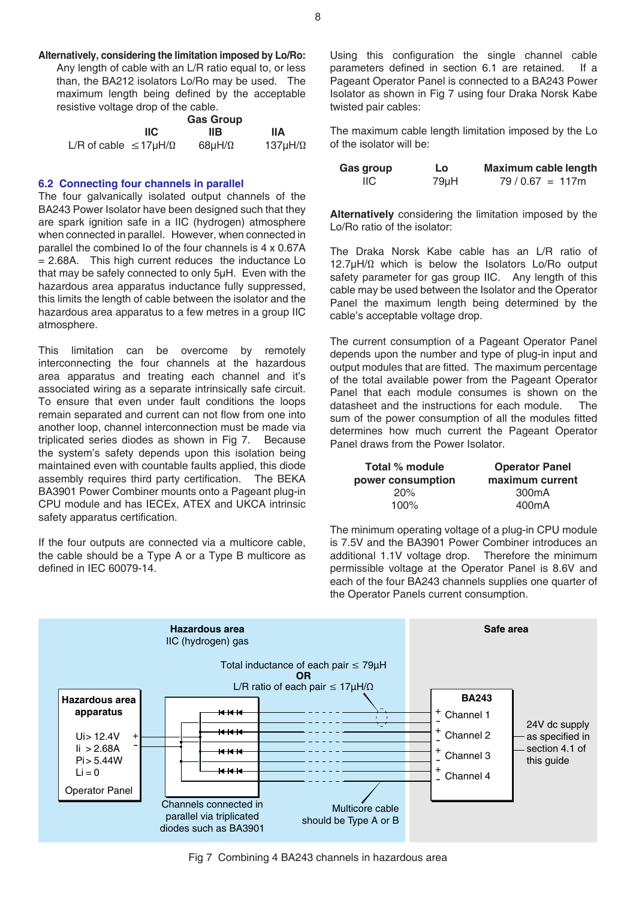**Alternatively, considering the limitation imposed by Lo/Ro:** Any length of cable with an L/R ratio equal to, or less

than, the BA212 isolators Lo/Ro may be used. The maximum length being defined by the acceptable resistive voltage drop of the cable.

|                                    |      | <b>Gas Group</b> |                 |
|------------------------------------|------|------------------|-----------------|
|                                    | IIC. | IIB.             | lΙA             |
| L/R of cable $\leq$ 17µH/ $\Omega$ |      | 68µH/ $\Omega$   | 137µH/ $\Omega$ |

## **6.2 Connecting four channels in parallel**

The four galvanically isolated output channels of the BA243 Power Isolator have been designed such that they are spark ignition safe in a IIC (hydrogen) atmosphere when connected in parallel. However, when connected in parallel the combined Io of the four channels is 4 x 0.67A  $= 2.68A$ . This high current reduces the inductance Lo that may be safely connected to only 5µH. Even with the hazardous area apparatus inductance fully suppressed, this limits the length of cable between the isolator and the hazardous area apparatus to a few metres in a group IIC atmosphere.

This limitation can be overcome by remotely interconnecting the four channels at the hazardous area apparatus and treating each channel and it's associated wiring as a separate intrinsically safe circuit. To ensure that even under fault conditions the loops remain separated and current can not flow from one into another loop, channel interconnection must be made via triplicated series diodes as shown in Fig 7. Because the system's safety depends upon this isolation being maintained even with countable faults applied, this diode assembly requires third party certification. The BEKA BA3901 Power Combiner mounts onto a Pageant plug-in CPU module and has IECEx, ATEX and UKCA intrinsic safety apparatus certification.

If the four outputs are connected via a multicore cable, the cable should be a Type A or a Type B multicore as defined in IEC 60079-14.

Using this configuration the single channel cable parameters defined in section 6.1 are retained. If a Pageant Operator Panel is connected to a BA243 Power Isolator as shown in Fig 7 using four Draka Norsk Kabe twisted pair cables:

The maximum cable length limitation imposed by the Lo of the isolator will be:

| Gas group | Lo   | Maximum cable length |
|-----------|------|----------------------|
| IIC.      | 79µH | $79/0.67 = 117m$     |

**Alternatively** considering the limitation imposed by the Lo/Ro ratio of the isolator:

The Draka Norsk Kabe cable has an L/R ratio of 12.7µH/Ω which is below the Isolators Lo/Ro output safety parameter for gas group IIC. Any length of this cable may be used between the Isolator and the Operator Panel the maximum length being determined by the cable's acceptable voltage drop.

The current consumption of a Pageant Operator Panel depends upon the number and type of plug-in input and output modules that are fitted. The maximum percentage of the total available power from the Pageant Operator Panel that each module consumes is shown on the datasheet and the instructions for each module. The sum of the power consumption of all the modules fitted determines how much current the Pageant Operator Panel draws from the Power Isolator.

| Total % module    | <b>Operator Panel</b> |  |
|-------------------|-----------------------|--|
| power consumption | maximum current       |  |
| 20%               | 300 <sub>m</sub> A    |  |
| $100\%$           | 400 <sub>m</sub> A    |  |

The minimum operating voltage of a plug-in CPU module is 7.5V and the BA3901 Power Combiner introduces an additional 1.1V voltage drop. Therefore the minimum permissible voltage at the Operator Panel is 8.6V and each of the four BA243 channels supplies one quarter of the Operator Panels current consumption.



Fig 7 Combining 4 BA243 channels in hazardous area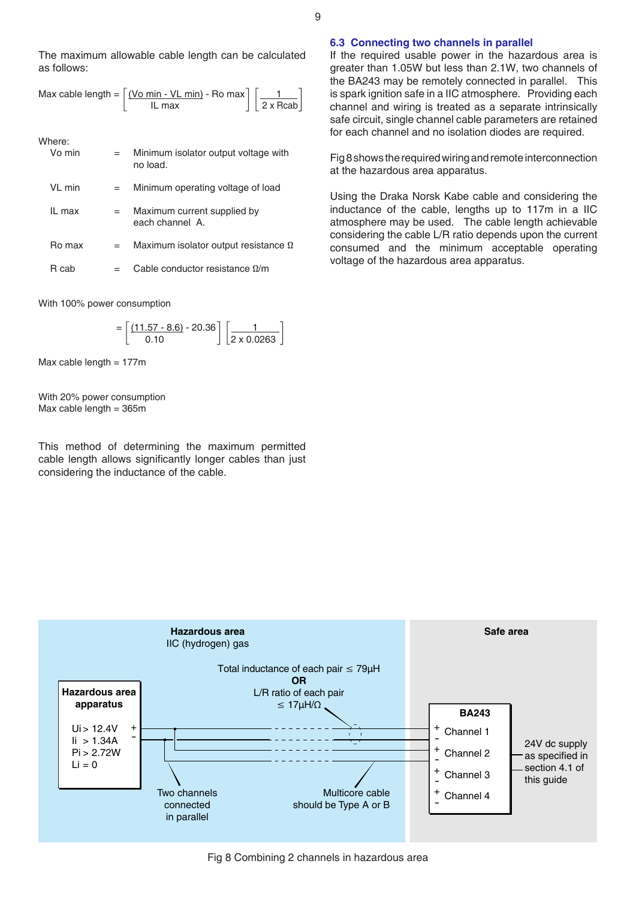The maximum allowable cable length can be calculated as follows:

$$
\text{Max cable length} = \left[ \frac{(\text{Vo min} - \text{VL min})}{\text{IL max}} \cdot \text{Ro max} \right] \left[ \frac{1}{2 \times \text{Rcab}} \right]
$$

Where:

| Vo min |     | Minimum isolator output voltage with<br>no load. |
|--------|-----|--------------------------------------------------|
| VL min | $=$ | Minimum operating voltage of load                |
| II max | $=$ | Maximum current supplied by<br>each channel A.   |
| Ro max |     | Maximum isolator output resistance $\Omega$      |
| R cab  |     | Cable conductor resistance $\Omega/m$            |

With 100% power consumption

 $=\left[\frac{(11.57 - 8.6)}{0.10} - 20.36\right] \left[\frac{1}{2 \times 0.0263}\right]$ 

Max cable length  $= 177$ m

With 20% power consumption Max cable length  $= 365$ m

This method of determining the maximum permitted cable length allows significantly longer cables than just considering the inductance of the cable.

## **6.3 Connecting two channels in parallel**

If the required usable power in the hazardous area is greater than 1.05W but less than 2.1W, two channels of the BA243 may be remotely connected in parallel. This is spark ignition safe in a IIC atmosphere. Providing each channel and wiring is treated as a separate intrinsically safe circuit, single channel cable parameters are retained for each channel and no isolation diodes are required.

Fig 8 shows the required wiring and remote interconnection at the hazardous area apparatus.

Using the Draka Norsk Kabe cable and considering the inductance of the cable, lengths up to 117m in a IIC atmosphere may be used. The cable length achievable considering the cable L/R ratio depends upon the current consumed and the minimum acceptable operating voltage of the hazardous area apparatus.

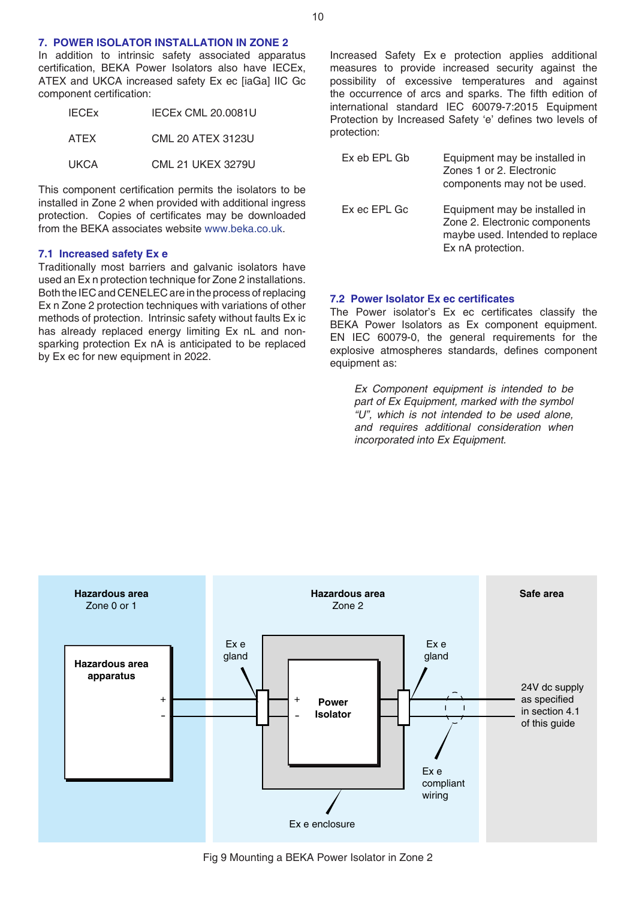## **7. POWER ISOLATOR INSTALLATION IN ZONE 2**

In addition to intrinsic safety associated apparatus certification, BEKA Power Isolators also have IECEx, ATEX and UKCA increased safety Ex ec [iaGa] IIC Gc component certification:

| <b>IECEX</b> | IECEx CML 20.0081U       |
|--------------|--------------------------|
| ATEX         | <b>CML 20 ATEX 3123U</b> |
| <b>UKCA</b>  | <b>CML 21 UKEX 3279U</b> |

This component certification permits the isolators to be installed in Zone 2 when provided with additional ingress protection. Copies of certificates may be downloaded from the BEKA associates website [www.beka.co.uk](https://www.beka.co.uk/).

#### **7.1 Increased safety Ex e**

Traditionally most barriers and galvanic isolators have used an Ex n protection technique for Zone 2 installations. Both the IEC and CENELEC are in the process ofreplacing Ex n Zone 2 protection techniques with variations of other methods of protection. Intrinsic safety without faults Ex ic has already replaced energy limiting Ex nL and nonsparking protection Ex nA is anticipated to be replaced by Ex ec for new equipment in 2022.

Increased Safety Ex e protection applies additional measures to provide increased security against the possibility of excessive temperatures and against the occurrence of arcs and sparks. The fifth edition of international standard IEC 60079-7:2015 Equipment Protection by Increased Safety 'e' defines two levels of protection:

| Ex eb EPL Gb | Equipment may be installed in<br>Zones 1 or 2. Electronic<br>components may not be used.                               |
|--------------|------------------------------------------------------------------------------------------------------------------------|
| Ex ec EPL Gc | Equipment may be installed in<br>Zone 2. Electronic components<br>maybe used. Intended to replace<br>Ex nA protection. |

## **7.2 Power Isolator Ex ec certificates**

The Power isolator's Ex ec certificates classify the BEKA Power Isolators as Ex component equipment. EN IEC 60079-0, the general requirements for the explosive atmospheres standards, defines component equipment as:

*Ex Component equipment is intended to be part of Ex Equipment, marked with the symbol "U", which is not intended to be used alone, and requires additional consideration when incorporated into Ex Equipment.*

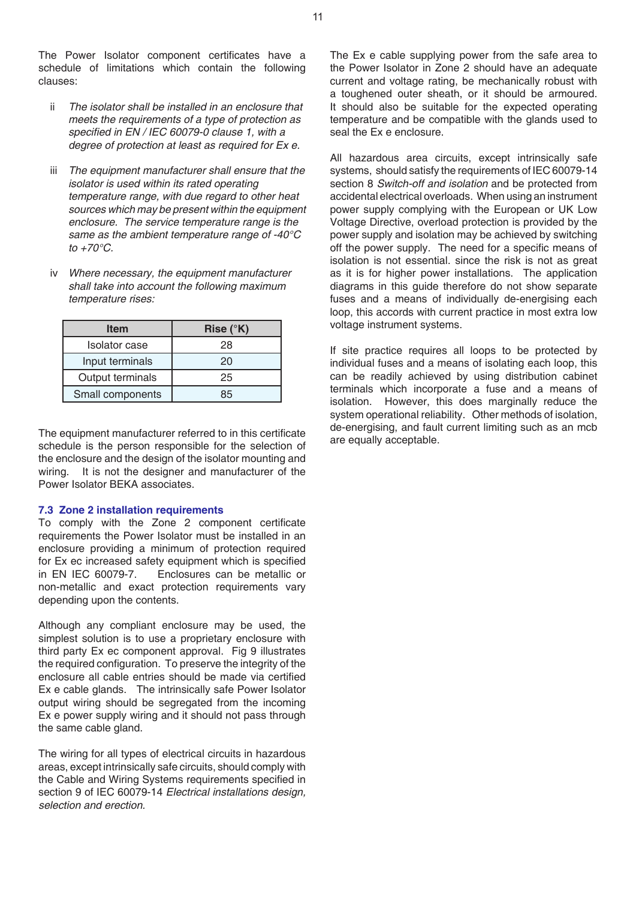The Power Isolator component certificates have a schedule of limitations which contain the following clauses:

- ii *The isolator shall be installed in an enclosure that meets the requirements of a type of protection as* specified in EN / IEC 60079-0 clause 1, with a  *degree of protection at least as required for Ex e.*
- iii *The equipment manufacturer shall ensure that the isolator is used within its rated operating temperature range, with due regard to other heat sources which may be present within the equipment enclosure. The service temperature range is the*  same as the ambient temperature range of -40°C to  $+70^{\circ}$ C.
- Where necessary, the equipment manufacturer  *shall take into account the following maximum temperature rises:*

| <b>Item</b>          | Rise $(^{\circ}K)$ |
|----------------------|--------------------|
| <b>Isolator</b> case | 28                 |
| Input terminals      | 20                 |
| Output terminals     | 25                 |
| Small components     | 85                 |

The equipment manufacturer referred to in this certificate schedule is the person responsible for the selection of the enclosure and the design of the isolator mounting and wiring. It is not the designer and manufacturer of the Power Isolator BEKA associates.

#### **7.3 Zone 2 installation requirements**

To comply with the Zone 2 component certificate requirements the Power Isolator must be installed in an enclosure providing a minimum of protection required for Ex ec increased safety equipment which is specified in EN IEC 60079-7. Enclosures can be metallic or non-metallic and exact protection requirements vary depending upon the contents.

Although any compliant enclosure may be used, the simplest solution is to use a proprietary enclosure with third party Ex ec component approval. Fig 9 illustrates the required configuration. To preserve the integrity of the enclosure all cable entries should be made via certified Ex e cable glands. The intrinsically safe Power Isolator output wiring should be segregated from the incoming Ex e power supply wiring and it should not pass through the same cable gland.

The wiring for all types of electrical circuits in hazardous areas, except intrinsically safe circuits, should comply with the Cable and Wiring Systems requirements specified in section 9 of IEC 60079-14 *Electrical installations design, selection and erection.*

The Ex e cable supplying power from the safe area to the Power Isolator in Zone 2 should have an adequate current and voltage rating, be mechanically robust with a toughened outer sheath, or it should be armoured. It should also be suitable for the expected operating temperature and be compatible with the glands used to seal the Ex e enclosure.

All hazardous area circuits, except intrinsically safe systems, should satisfy the requirements of IEC 60079-14 section 8 Switch-off and isolation and be protected from accidental electrical overloads. When using an instrument power supply complying with the European or UK Low Voltage Directive, overload protection is provided by the power supply and isolation may be achieved by switching off the power supply. The need for a specific means of isolation is not essential. since the risk is not as great as it is for higher power installations. The application diagrams in this guide therefore do not show separate fuses and a means of individually de-energising each loop, this accords with current practice in most extra low voltage instrument systems.

If site practice requires all loops to be protected by individual fuses and a means of isolating each loop, this can be readily achieved by using distribution cabinet terminals which incorporate a fuse and a means of isolation. However, this does marginally reduce the system operational reliability. Other methods of isolation, de-energising, and fault current limiting such as an mcb are equally acceptable.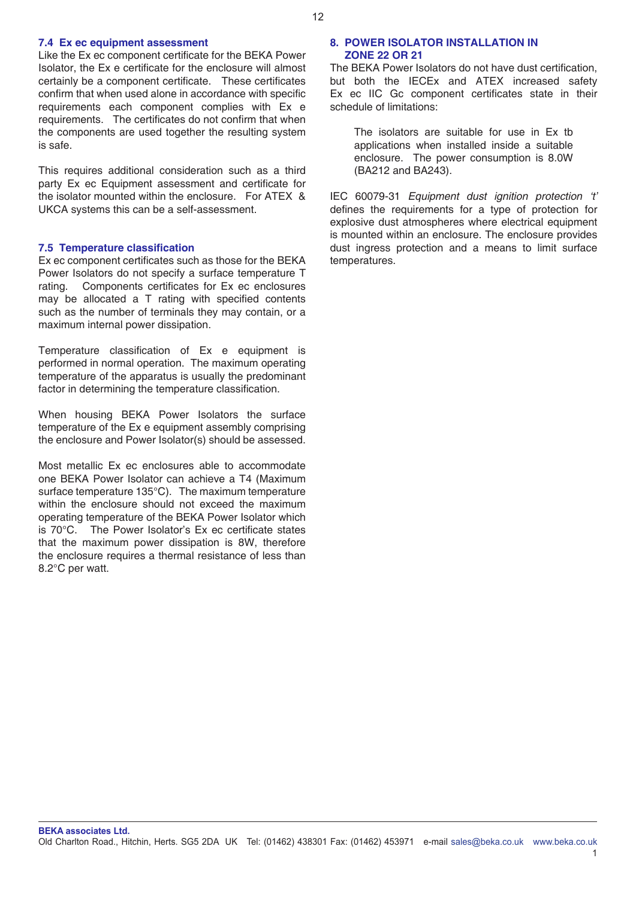## **7.4 Ex ec equipment assessment**

Like the Ex ec component certificate for the BEKA Power Isolator, the Ex e certificate for the enclosure will almost certainly be a component certificate. These certificates confirm that when used alone in accordance with specific requirements each component complies with Ex e requirements. The certificates do not confirm that when the components are used together the resulting system is safe.

This requires additional consideration such as a third party Ex ec Equipment assessment and certificate for the isolator mounted within the enclosure. For ATEX & UKCA systems this can be a self-assessment.

## **7.5 Temperature classification**

Ex ec component certificates such as those for the BEKA Power Isolators do not specify a surface temperature T rating. Components certificates for Ex ec enclosures may be allocated a T rating with specified contents such as the number of terminals they may contain, or a maximum internal power dissipation.

Temperature classification of Ex e equipment is performed in normal operation. The maximum operating temperature of the apparatus is usually the predominant factor in determining the temperature classification.

When housing BEKA Power Isolators the surface temperature of the Ex e equipment assembly comprising the enclosure and Power Isolator(s) should be assessed.

Most metallic Ex ec enclosures able to accommodate one BEKA Power Isolator can achieve a T4 (Maximum surface temperature 135°C). The maximum temperature within the enclosure should not exceed the maximum operating temperature of the BEKA Power Isolator which is 70°C. The Power Isolator's Ex ec certificate states that the maximum power dissipation is 8W, therefore the enclosure requires a thermal resistance of less than 8.2°C per watt.

## **8. POWER ISOLATOR INSTALLATION IN ZONE 22 OR 21**

The BEKA Power Isolators do not have dust certification, but both the IECEx and ATEX increased safety Ex ec IIC Gc component certificates state in their schedule of limitations:

The isolators are suitable for use in Ex tb applications when installed inside a suitable enclosure. The power consumption is 8.0W (BA212 and BA243).

IEC 60079-31 *Equipment dust ignition protection 't'* defines the requirements for a type of protection for explosive dust atmospheres where electrical equipment is mounted within an enclosure. The enclosure provides dust ingress protection and a means to limit surface temperatures.